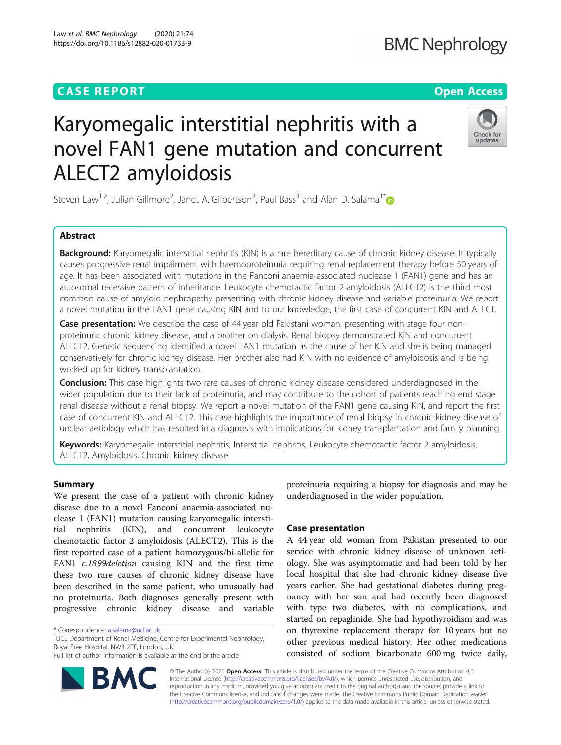# **CASE REPORT CASE REPORT CASE REPORT**



# Karyomegalic interstitial nephritis with a novel FAN1 gene mutation and concurrent ALECT2 amyloidosis

Steven Law<sup>1,2</sup>, Julian Gillmore<sup>2</sup>, Janet A. Gilbertson<sup>2</sup>, Paul Bass<sup>3</sup> and Alan D. Salama<sup>1\*</sup>

# Abstract

Background: Karyomegalic interstitial nephritis (KIN) is a rare hereditary cause of chronic kidney disease. It typically causes progressive renal impairment with haemoproteinuria requiring renal replacement therapy before 50 years of age. It has been associated with mutations in the Fanconi anaemia-associated nuclease 1 (FAN1) gene and has an autosomal recessive pattern of inheritance. Leukocyte chemotactic factor 2 amyloidosis (ALECT2) is the third most common cause of amyloid nephropathy presenting with chronic kidney disease and variable proteinuria. We report a novel mutation in the FAN1 gene causing KIN and to our knowledge, the first case of concurrent KIN and ALECT.

Case presentation: We describe the case of 44 year old Pakistani woman, presenting with stage four nonproteinuric chronic kidney disease, and a brother on dialysis. Renal biopsy demonstrated KIN and concurrent ALECT2. Genetic sequencing identified a novel FAN1 mutation as the cause of her KIN and she is being managed conservatively for chronic kidney disease. Her brother also had KIN with no evidence of amyloidosis and is being worked up for kidney transplantation.

**Conclusion:** This case highlights two rare causes of chronic kidney disease considered underdiagnosed in the wider population due to their lack of proteinuria, and may contribute to the cohort of patients reaching end stage renal disease without a renal biopsy. We report a novel mutation of the FAN1 gene causing KIN, and report the first case of concurrent KIN and ALECT2. This case highlights the importance of renal biopsy in chronic kidney disease of unclear aetiology which has resulted in a diagnosis with implications for kidney transplantation and family planning.

Keywords: Karyomegalic interstitial nephritis, Interstitial nephritis, Leukocyte chemotactic factor 2 amyloidosis, ALECT2, Amyloidosis, Chronic kidney disease

# Summary

We present the case of a patient with chronic kidney disease due to a novel Fanconi anaemia-associated nuclease 1 (FAN1) mutation causing karyomegalic interstitial nephritis (KIN), and concurrent leukocyte chemotactic factor 2 amyloidosis (ALECT2). This is the first reported case of a patient homozygous/bi-allelic for FAN1 *c.1899deletion* causing KIN and the first time these two rare causes of chronic kidney disease have been described in the same patient, who unusually had no proteinuria. Both diagnoses generally present with progressive chronic kidney disease and variable

<sup>1</sup>UCL Department of Renal Medicine, Centre for Experimental Nephrology, Royal Free Hospital, NW3 2PF, London, UK

Full list of author information is available at the end of the article



proteinuria requiring a biopsy for diagnosis and may be underdiagnosed in the wider population.

# Case presentation

A 44 year old woman from Pakistan presented to our service with chronic kidney disease of unknown aetiology. She was asymptomatic and had been told by her local hospital that she had chronic kidney disease five years earlier. She had gestational diabetes during pregnancy with her son and had recently been diagnosed with type two diabetes, with no complications, and started on repaglinide. She had hypothyroidism and was on thyroxine replacement therapy for 10 years but no other previous medical history. Her other medications consisted of sodium bicarbonate 600 mg twice daily,

© The Author(s). 2020 Open Access This article is distributed under the terms of the Creative Commons Attribution 4.0 International License [\(http://creativecommons.org/licenses/by/4.0/](http://creativecommons.org/licenses/by/4.0/)), which permits unrestricted use, distribution, and reproduction in any medium, provided you give appropriate credit to the original author(s) and the source, provide a link to the Creative Commons license, and indicate if changes were made. The Creative Commons Public Domain Dedication waiver [\(http://creativecommons.org/publicdomain/zero/1.0/](http://creativecommons.org/publicdomain/zero/1.0/)) applies to the data made available in this article, unless otherwise stated.

<sup>\*</sup> Correspondence: [a.salama@ucl.ac.uk](mailto:a.salama@ucl.ac.uk) <sup>1</sup>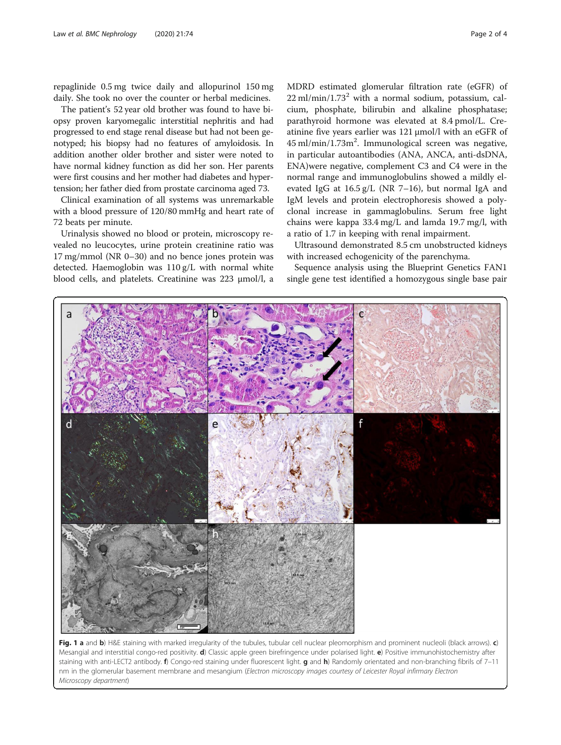<span id="page-1-0"></span>repaglinide 0.5 mg twice daily and allopurinol 150 mg daily. She took no over the counter or herbal medicines.

The patient's 52 year old brother was found to have biopsy proven karyomegalic interstitial nephritis and had progressed to end stage renal disease but had not been genotyped; his biopsy had no features of amyloidosis. In addition another older brother and sister were noted to have normal kidney function as did her son. Her parents were first cousins and her mother had diabetes and hypertension; her father died from prostate carcinoma aged 73.

Clinical examination of all systems was unremarkable with a blood pressure of 120/80 mmHg and heart rate of 72 beats per minute.

Urinalysis showed no blood or protein, microscopy revealed no leucocytes, urine protein creatinine ratio was 17 mg/mmol (NR 0–30) and no bence jones protein was detected. Haemoglobin was 110 g/L with normal white blood cells, and platelets. Creatinine was 223 μmol/l, a

 $\mathsf{d}$ 

MDRD estimated glomerular filtration rate (eGFR) of  $22$  ml/min/1.73<sup>2</sup> with a normal sodium, potassium, calcium, phosphate, bilirubin and alkaline phosphatase; parathyroid hormone was elevated at 8.4 pmol/L. Creatinine five years earlier was 121 μmol/l with an eGFR of 45 ml/min/1.73m<sup>2</sup>. Immunological screen was negative, in particular autoantibodies (ANA, ANCA, anti-dsDNA, ENA)were negative, complement C3 and C4 were in the normal range and immunoglobulins showed a mildly elevated IgG at 16.5 g/L (NR 7–16), but normal IgA and IgM levels and protein electrophoresis showed a polyclonal increase in gammaglobulins. Serum free light chains were kappa 33.4 mg/L and lamda 19.7 mg/l, with a ratio of 1.7 in keeping with renal impairment.

Ultrasound demonstrated 8.5 cm unobstructed kidneys with increased echogenicity of the parenchyma.

Sequence analysis using the Blueprint Genetics FAN1 single gene test identified a homozygous single base pair

 $\ddot{c}$ 

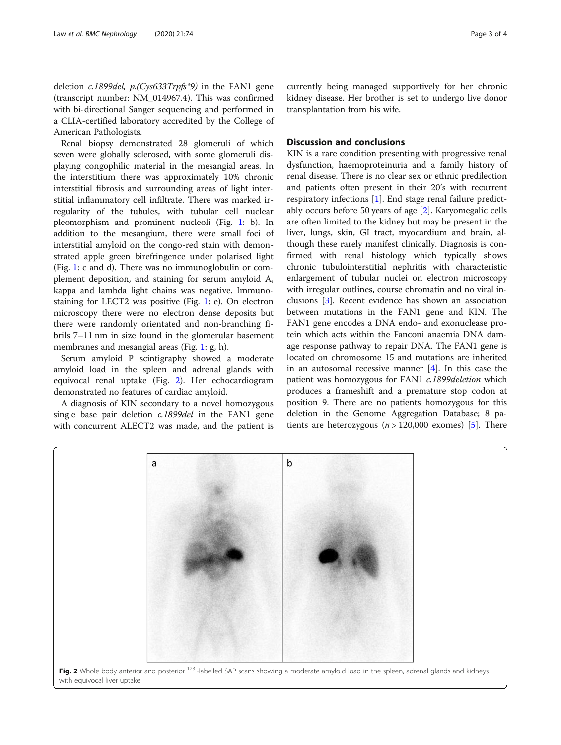deletion c.1899del, p.(Cys633Trpfs\*9) in the FAN1 gene (transcript number: NM\_014967.4). This was confirmed with bi-directional Sanger sequencing and performed in a CLIA-certified laboratory accredited by the College of American Pathologists.

Renal biopsy demonstrated 28 glomeruli of which seven were globally sclerosed, with some glomeruli displaying congophilic material in the mesangial areas. In the interstitium there was approximately 10% chronic interstitial fibrosis and surrounding areas of light interstitial inflammatory cell infiltrate. There was marked irregularity of the tubules, with tubular cell nuclear pleomorphism and prominent nucleoli (Fig. [1:](#page-1-0) b). In addition to the mesangium, there were small foci of interstitial amyloid on the congo-red stain with demonstrated apple green birefringence under polarised light (Fig. [1](#page-1-0): c and d). There was no immunoglobulin or complement deposition, and staining for serum amyloid A, kappa and lambda light chains was negative. Immunostaining for LECT2 was positive (Fig. [1](#page-1-0): e). On electron microscopy there were no electron dense deposits but there were randomly orientated and non-branching fibrils 7–11 nm in size found in the glomerular basement membranes and mesangial areas (Fig. [1:](#page-1-0) g, h).

Serum amyloid P scintigraphy showed a moderate amyloid load in the spleen and adrenal glands with equivocal renal uptake (Fig. 2). Her echocardiogram demonstrated no features of cardiac amyloid.

A diagnosis of KIN secondary to a novel homozygous single base pair deletion *c.1899del* in the FAN1 gene with concurrent ALECT2 was made, and the patient is

a

currently being managed supportively for her chronic kidney disease. Her brother is set to undergo live donor transplantation from his wife.

# Discussion and conclusions

KIN is a rare condition presenting with progressive renal dysfunction, haemoproteinuria and a family history of renal disease. There is no clear sex or ethnic predilection and patients often present in their 20's with recurrent respiratory infections [[1\]](#page-3-0). End stage renal failure predictably occurs before 50 years of age [\[2](#page-3-0)]. Karyomegalic cells are often limited to the kidney but may be present in the liver, lungs, skin, GI tract, myocardium and brain, although these rarely manifest clinically. Diagnosis is confirmed with renal histology which typically shows chronic tubulointerstitial nephritis with characteristic enlargement of tubular nuclei on electron microscopy with irregular outlines, course chromatin and no viral inclusions [\[3](#page-3-0)]. Recent evidence has shown an association between mutations in the FAN1 gene and KIN. The FAN1 gene encodes a DNA endo- and exonuclease protein which acts within the Fanconi anaemia DNA damage response pathway to repair DNA. The FAN1 gene is located on chromosome 15 and mutations are inherited in an autosomal recessive manner [\[4](#page-3-0)]. In this case the patient was homozygous for FAN1 c.1899deletion which produces a frameshift and a premature stop codon at position 9. There are no patients homozygous for this deletion in the Genome Aggregation Database; 8 patients are heterozygous ( $n > 120,000$  exomes) [[5\]](#page-3-0). There



 $\mathbf b$